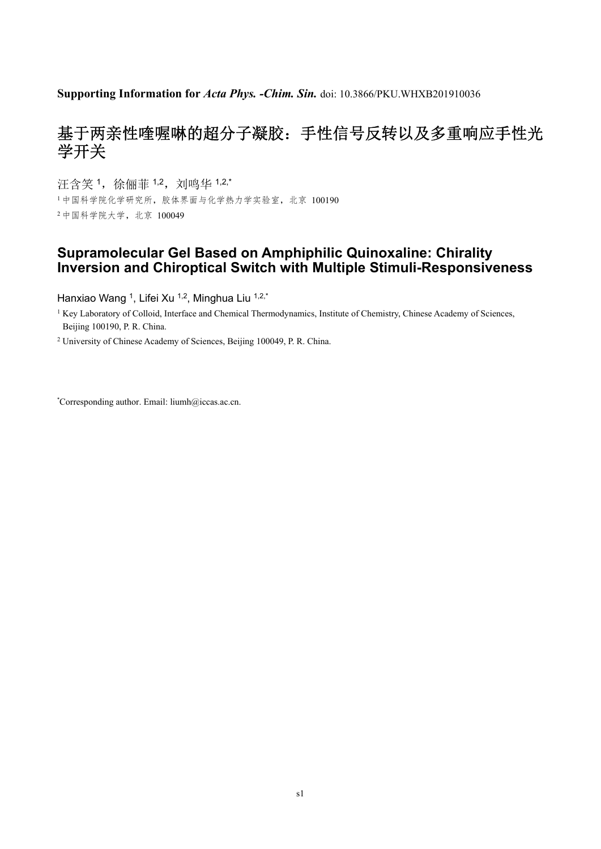## **Supporting Information for** *Acta Phys. -Chim. Sin.* doi: 10.3866/PKU.WHXB201910036

## 基于两亲性喹喔啉的超分子凝胶:手性信号反转以及多重响应手性光 学开关

汗含笑 1,徐俪菲 1,2, 刘鸣华 1,2,\* <sup>1</sup>中国科学院化学研究所,胶体界面与化学热力学实验室,北京 100190 <sup>2</sup>中国科学院大学,北京 100049

## **Supramolecular Gel Based on Amphiphilic Quinoxaline: Chirality Inversion and Chiroptical Switch with Multiple Stimuli-Responsiveness**

Hanxiao Wang 1, Lifei Xu 1,2, Minghua Liu 1,2,\*

<sup>1</sup> Key Laboratory of Colloid, Interface and Chemical Thermodynamics, Institute of Chemistry, Chinese Academy of Sciences, Beijing 100190, P. R. China.

2 University of Chinese Academy of Sciences, Beijing 100049, P. R. China.

\* Corresponding author. Email: liumh@iccas.ac.cn.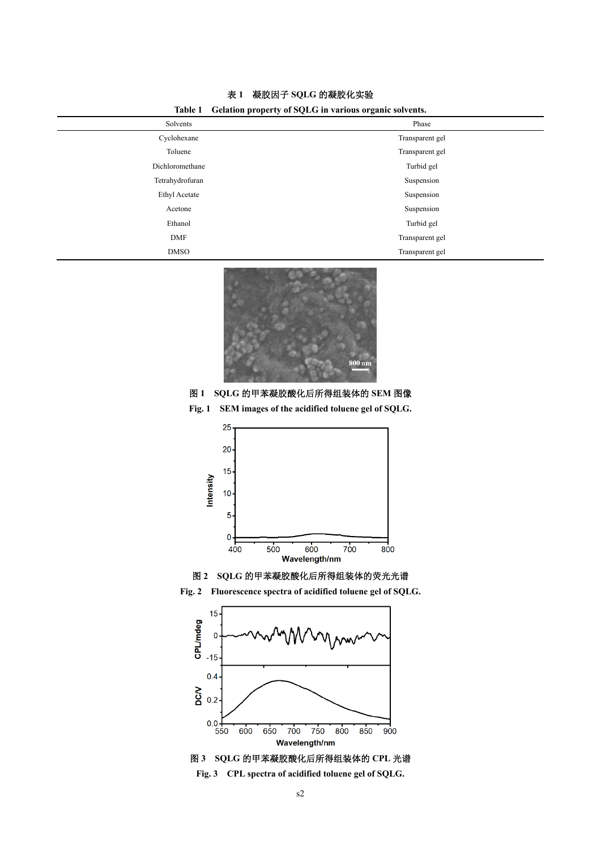| Gelation property of SQLG in various organic solvents.<br>Table 1 |                 |
|-------------------------------------------------------------------|-----------------|
| Solvents                                                          | Phase           |
| Cyclohexane                                                       | Transparent gel |
| Toluene                                                           | Transparent gel |
| Dichloromethane                                                   | Turbid gel      |
| Tetrahydrofuran                                                   | Suspension      |
| <b>Ethyl Acetate</b>                                              | Suspension      |
| Acetone                                                           | Suspension      |
| Ethanol                                                           | Turbid gel      |
| <b>DMF</b>                                                        | Transparent gel |
| <b>DMSO</b>                                                       | Transparent gel |

表 **1** 凝胶因子 **SQLG** 的凝胶化实验





**Fig. 1 SEM images of the acidified toluene gel of SQLG.** 



## 图 **2 SQLG** 的甲苯凝胶酸化后所得组装体的荧光光谱